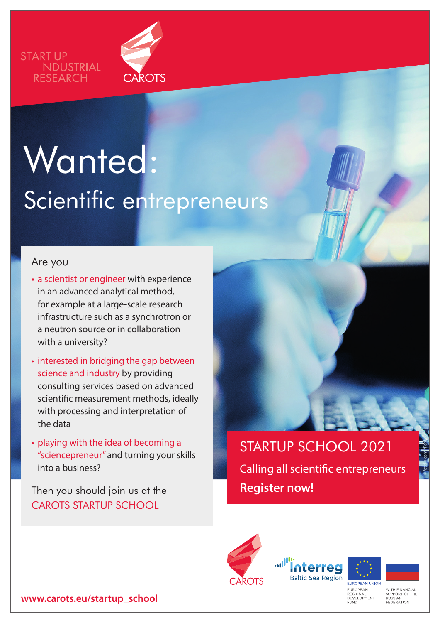



# Wanted: Scientific entrepreneurs

#### Are you

- **•** a scientist or engineer with experience in an advanced analytical method, for example at a large-scale research infrastructure such as a synchrotron or a neutron source or in collaboration with a university?
- interested in bridging the gap between science and industry by providing consulting services based on advanced scientific measurement methods, ideally with processing and interpretation of the data
- playing with the idea of becoming a "sciencepreneur" and turning your skills into a business?

Then you should join us at the CAROTS STARTUP SCHOOL

STARTUP SCHOOL 2021 Calling all scientific entrepreneurs **Register now!**







© fotolia.com /Parilov

EUROPEAN<br>REGIONAL<br>DEVELOPMENT<br>FUND

**WITH FINANCIAL** WITH FINANC<br>SUPPORT OF<br>RUSSIAN<br>FEDERATION